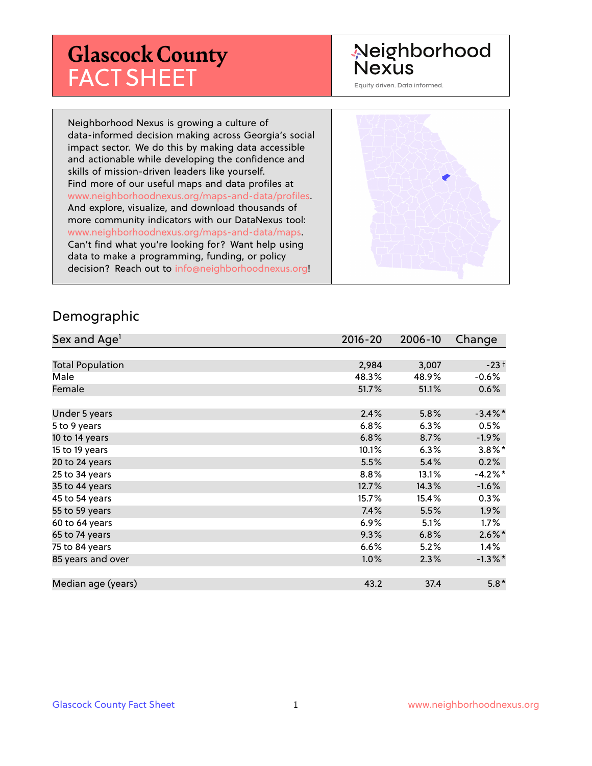# **Glascock County** FACT SHEET

# Neighborhood **Nexus**

Equity driven. Data informed.

Neighborhood Nexus is growing a culture of data-informed decision making across Georgia's social impact sector. We do this by making data accessible and actionable while developing the confidence and skills of mission-driven leaders like yourself. Find more of our useful maps and data profiles at www.neighborhoodnexus.org/maps-and-data/profiles. And explore, visualize, and download thousands of more community indicators with our DataNexus tool: www.neighborhoodnexus.org/maps-and-data/maps. Can't find what you're looking for? Want help using data to make a programming, funding, or policy decision? Reach out to [info@neighborhoodnexus.org!](mailto:info@neighborhoodnexus.org)



#### Demographic

| Sex and Age <sup>1</sup> | $2016 - 20$ | 2006-10 | Change               |
|--------------------------|-------------|---------|----------------------|
|                          |             |         |                      |
| <b>Total Population</b>  | 2,984       | 3,007   | $-23+$               |
| Male                     | 48.3%       | 48.9%   | $-0.6%$              |
| Female                   | 51.7%       | 51.1%   | $0.6\%$              |
|                          |             |         |                      |
| Under 5 years            | 2.4%        | 5.8%    | $-3.4\%$ *           |
| 5 to 9 years             | 6.8%        | 6.3%    | 0.5%                 |
| 10 to 14 years           | 6.8%        | 8.7%    | $-1.9\%$             |
| 15 to 19 years           | 10.1%       | 6.3%    | $3.8\%$ *            |
| 20 to 24 years           | 5.5%        | 5.4%    | 0.2%                 |
| 25 to 34 years           | 8.8%        | 13.1%   | $-4.2%$ *            |
| 35 to 44 years           | 12.7%       | 14.3%   | $-1.6%$              |
| 45 to 54 years           | 15.7%       | 15.4%   | $0.3\%$              |
| 55 to 59 years           | 7.4%        | 5.5%    | 1.9%                 |
| 60 to 64 years           | 6.9%        | 5.1%    | $1.7\%$              |
| 65 to 74 years           | 9.3%        | 6.8%    | $2.6\%$ <sup>*</sup> |
| 75 to 84 years           | 6.6%        | 5.2%    | $1.4\%$              |
| 85 years and over        | $1.0\%$     | 2.3%    | $-1.3\%$ *           |
|                          |             |         |                      |
| Median age (years)       | 43.2        | 37.4    | $5.8*$               |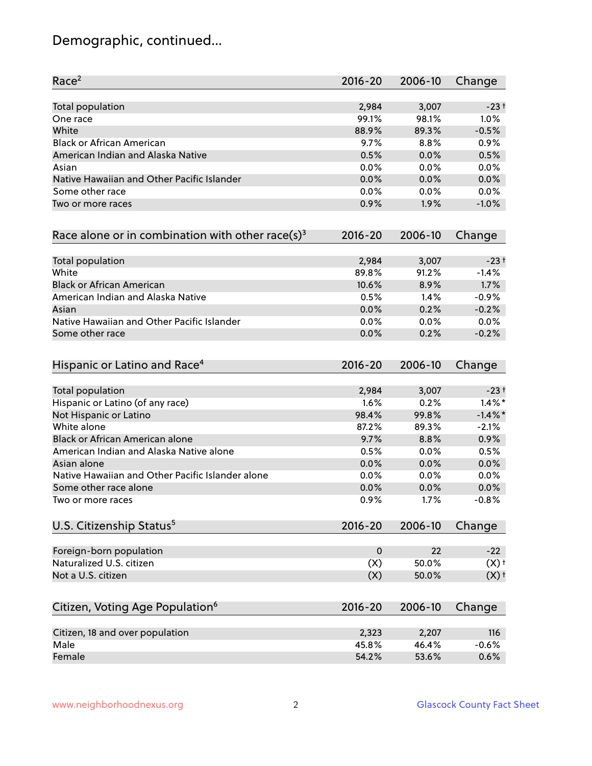# Demographic, continued...

| Race <sup>2</sup>                                            | $2016 - 20$ | 2006-10 | Change     |
|--------------------------------------------------------------|-------------|---------|------------|
| <b>Total population</b>                                      | 2,984       | 3,007   | $-23+$     |
| One race                                                     | 99.1%       | 98.1%   | 1.0%       |
| White                                                        | 88.9%       | 89.3%   | $-0.5%$    |
| <b>Black or African American</b>                             | 9.7%        | 8.8%    | 0.9%       |
| American Indian and Alaska Native                            | 0.5%        | 0.0%    | 0.5%       |
| Asian                                                        | 0.0%        | 0.0%    | 0.0%       |
| Native Hawaiian and Other Pacific Islander                   | 0.0%        | 0.0%    | 0.0%       |
| Some other race                                              | 0.0%        | 0.0%    | 0.0%       |
| Two or more races                                            | 0.9%        | 1.9%    | $-1.0%$    |
| Race alone or in combination with other race(s) <sup>3</sup> | $2016 - 20$ | 2006-10 | Change     |
| Total population                                             | 2,984       | 3,007   | $-23+$     |
| White                                                        | 89.8%       | 91.2%   | $-1.4%$    |
| <b>Black or African American</b>                             | 10.6%       | 8.9%    | 1.7%       |
| American Indian and Alaska Native                            | 0.5%        | 1.4%    | $-0.9%$    |
| Asian                                                        | 0.0%        | 0.2%    | $-0.2%$    |
| Native Hawaiian and Other Pacific Islander                   | 0.0%        | 0.0%    | 0.0%       |
| Some other race                                              | 0.0%        | 0.2%    | $-0.2%$    |
| Hispanic or Latino and Race <sup>4</sup>                     | $2016 - 20$ | 2006-10 | Change     |
| Total population                                             | 2,984       | 3,007   | $-23+$     |
| Hispanic or Latino (of any race)                             | 1.6%        | 0.2%    | $1.4\%$ *  |
| Not Hispanic or Latino                                       | 98.4%       | 99.8%   | $-1.4\%$ * |
| White alone                                                  | 87.2%       | 89.3%   | $-2.1%$    |
| Black or African American alone                              | 9.7%        | 8.8%    | 0.9%       |
| American Indian and Alaska Native alone                      | 0.5%        | 0.0%    | 0.5%       |
| Asian alone                                                  | 0.0%        | 0.0%    | 0.0%       |
| Native Hawaiian and Other Pacific Islander alone             | 0.0%        | 0.0%    | 0.0%       |
| Some other race alone                                        | 0.0%        | 0.0%    | 0.0%       |
| Two or more races                                            | 0.9%        | 1.7%    | $-0.8%$    |
| U.S. Citizenship Status <sup>5</sup>                         | $2016 - 20$ | 2006-10 | Change     |
| Foreign-born population                                      | $\mathbf 0$ | 22      | $-22$      |
| Naturalized U.S. citizen                                     | (X)         | 50.0%   | (X)        |
| Not a U.S. citizen                                           | (X)         | 50.0%   | (X)        |
| Citizen, Voting Age Population <sup>6</sup>                  | $2016 - 20$ | 2006-10 | Change     |
|                                                              |             |         |            |
| Citizen, 18 and over population                              | 2,323       | 2,207   | 116        |
| Male                                                         | 45.8%       | 46.4%   | $-0.6%$    |
| Female                                                       | 54.2%       | 53.6%   | 0.6%       |
|                                                              |             |         |            |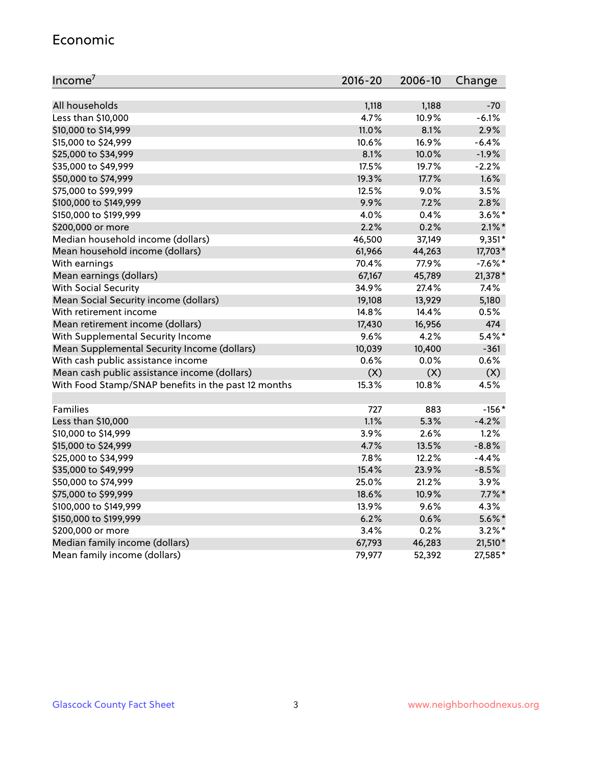#### Economic

| Income <sup>7</sup>                                 | $2016 - 20$ | 2006-10 | Change    |
|-----------------------------------------------------|-------------|---------|-----------|
|                                                     |             |         |           |
| All households                                      | 1,118       | 1,188   | $-70$     |
| Less than \$10,000                                  | 4.7%        | 10.9%   | $-6.1%$   |
| \$10,000 to \$14,999                                | 11.0%       | 8.1%    | 2.9%      |
| \$15,000 to \$24,999                                | 10.6%       | 16.9%   | $-6.4%$   |
| \$25,000 to \$34,999                                | 8.1%        | 10.0%   | $-1.9%$   |
| \$35,000 to \$49,999                                | 17.5%       | 19.7%   | $-2.2%$   |
| \$50,000 to \$74,999                                | 19.3%       | 17.7%   | 1.6%      |
| \$75,000 to \$99,999                                | 12.5%       | $9.0\%$ | 3.5%      |
| \$100,000 to \$149,999                              | 9.9%        | 7.2%    | 2.8%      |
| \$150,000 to \$199,999                              | 4.0%        | 0.4%    | $3.6\%$ * |
| \$200,000 or more                                   | 2.2%        | 0.2%    | $2.1\%$ * |
| Median household income (dollars)                   | 46,500      | 37,149  | $9,351*$  |
| Mean household income (dollars)                     | 61,966      | 44,263  | 17,703*   |
| With earnings                                       | 70.4%       | 77.9%   | $-7.6%$ * |
| Mean earnings (dollars)                             | 67,167      | 45,789  | 21,378 *  |
| <b>With Social Security</b>                         | 34.9%       | 27.4%   | 7.4%      |
| Mean Social Security income (dollars)               | 19,108      | 13,929  | 5,180     |
| With retirement income                              | 14.8%       | 14.4%   | 0.5%      |
| Mean retirement income (dollars)                    | 17,430      | 16,956  | 474       |
| With Supplemental Security Income                   | 9.6%        | 4.2%    | $5.4\%$ * |
| Mean Supplemental Security Income (dollars)         | 10,039      | 10,400  | $-361$    |
| With cash public assistance income                  | 0.6%        | 0.0%    | 0.6%      |
| Mean cash public assistance income (dollars)        | (X)         | (X)     | (X)       |
| With Food Stamp/SNAP benefits in the past 12 months | 15.3%       | 10.8%   | 4.5%      |
|                                                     |             |         |           |
| Families                                            | 727         | 883     | $-156*$   |
| Less than \$10,000                                  | 1.1%        | 5.3%    | $-4.2%$   |
| \$10,000 to \$14,999                                | 3.9%        | 2.6%    | 1.2%      |
| \$15,000 to \$24,999                                | 4.7%        | 13.5%   | $-8.8%$   |
| \$25,000 to \$34,999                                | 7.8%        | 12.2%   | $-4.4%$   |
| \$35,000 to \$49,999                                | 15.4%       | 23.9%   | $-8.5%$   |
| \$50,000 to \$74,999                                | 25.0%       | 21.2%   | 3.9%      |
| \$75,000 to \$99,999                                | 18.6%       | 10.9%   | $7.7\%$ * |
| \$100,000 to \$149,999                              | 13.9%       | 9.6%    | 4.3%      |
| \$150,000 to \$199,999                              | 6.2%        | 0.6%    | $5.6\%$ * |
| \$200,000 or more                                   | 3.4%        | 0.2%    | $3.2\%$ * |
| Median family income (dollars)                      | 67,793      | 46,283  | 21,510*   |
| Mean family income (dollars)                        | 79,977      | 52,392  | 27,585*   |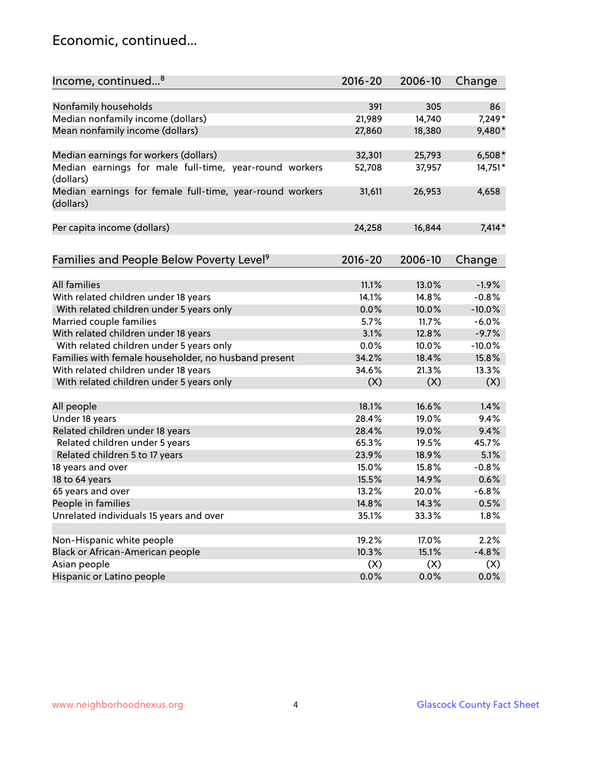### Economic, continued...

| Income, continued <sup>8</sup>                                        | $2016 - 20$ | 2006-10 | Change   |
|-----------------------------------------------------------------------|-------------|---------|----------|
|                                                                       |             |         |          |
| Nonfamily households                                                  | 391         | 305     | 86       |
| Median nonfamily income (dollars)                                     | 21,989      | 14,740  | 7,249*   |
| Mean nonfamily income (dollars)                                       | 27,860      | 18,380  | 9,480*   |
| Median earnings for workers (dollars)                                 | 32,301      | 25,793  | $6,508*$ |
| Median earnings for male full-time, year-round workers                | 52,708      | 37,957  | 14,751*  |
| (dollars)                                                             |             |         |          |
| Median earnings for female full-time, year-round workers<br>(dollars) | 31,611      | 26,953  | 4,658    |
| Per capita income (dollars)                                           | 24,258      | 16,844  | $7,414*$ |
|                                                                       |             |         |          |
| Families and People Below Poverty Level <sup>9</sup>                  | 2016-20     | 2006-10 | Change   |
|                                                                       |             |         |          |
| <b>All families</b>                                                   | 11.1%       | 13.0%   | $-1.9%$  |
| With related children under 18 years                                  | 14.1%       | 14.8%   | $-0.8%$  |
| With related children under 5 years only                              | 0.0%        | 10.0%   | $-10.0%$ |
| Married couple families                                               | 5.7%        | 11.7%   | $-6.0%$  |
| With related children under 18 years                                  | 3.1%        | 12.8%   | $-9.7%$  |
| With related children under 5 years only                              | 0.0%        | 10.0%   | $-10.0%$ |
| Families with female householder, no husband present                  | 34.2%       | 18.4%   | 15.8%    |
| With related children under 18 years                                  | 34.6%       | 21.3%   | 13.3%    |
| With related children under 5 years only                              | (X)         | (X)     | (X)      |
|                                                                       |             |         |          |
| All people                                                            | 18.1%       | 16.6%   | 1.4%     |
| Under 18 years                                                        | 28.4%       | 19.0%   | 9.4%     |
| Related children under 18 years                                       | 28.4%       | 19.0%   | 9.4%     |
| Related children under 5 years                                        | 65.3%       | 19.5%   | 45.7%    |
| Related children 5 to 17 years                                        | 23.9%       | 18.9%   | 5.1%     |
| 18 years and over                                                     | 15.0%       | 15.8%   | $-0.8%$  |
| 18 to 64 years                                                        | 15.5%       | 14.9%   | 0.6%     |
| 65 years and over                                                     | 13.2%       | 20.0%   | $-6.8%$  |
| People in families                                                    | 14.8%       | 14.3%   | 0.5%     |
| Unrelated individuals 15 years and over                               | 35.1%       | 33.3%   | 1.8%     |
|                                                                       |             |         |          |
| Non-Hispanic white people                                             | 19.2%       | 17.0%   | 2.2%     |
| Black or African-American people                                      | 10.3%       | 15.1%   | $-4.8%$  |
| Asian people                                                          | (X)         | (X)     | (X)      |
| Hispanic or Latino people                                             | 0.0%        | 0.0%    | 0.0%     |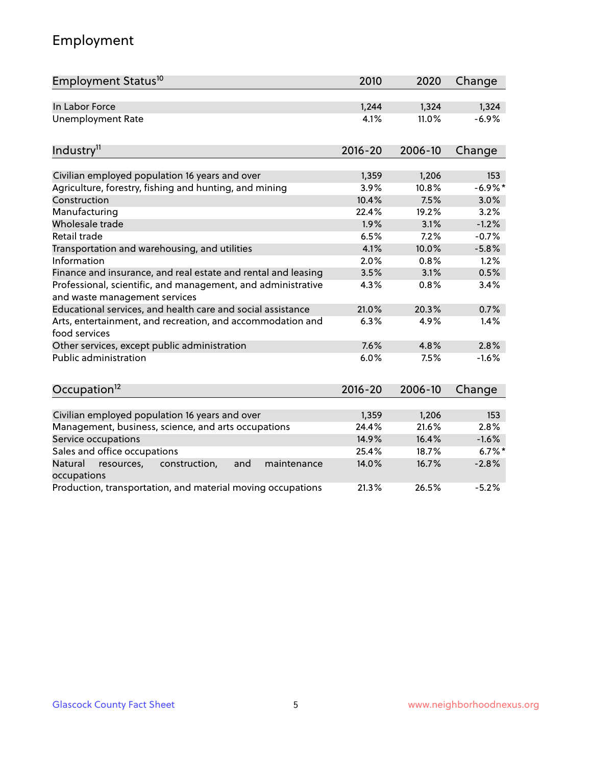# Employment

| Employment Status <sup>10</sup>                                                               | 2010        | 2020    | Change    |
|-----------------------------------------------------------------------------------------------|-------------|---------|-----------|
| In Labor Force                                                                                | 1,244       | 1,324   | 1,324     |
| <b>Unemployment Rate</b>                                                                      | 4.1%        | 11.0%   | $-6.9%$   |
| Industry <sup>11</sup>                                                                        | $2016 - 20$ | 2006-10 | Change    |
|                                                                                               |             |         |           |
| Civilian employed population 16 years and over                                                | 1,359       | 1,206   | 153       |
| Agriculture, forestry, fishing and hunting, and mining                                        | 3.9%        | 10.8%   | $-6.9%$ * |
| Construction                                                                                  | 10.4%       | 7.5%    | 3.0%      |
| Manufacturing                                                                                 | 22.4%       | 19.2%   | 3.2%      |
| Wholesale trade                                                                               | 1.9%        | 3.1%    | $-1.2%$   |
| Retail trade                                                                                  | 6.5%        | 7.2%    | $-0.7%$   |
| Transportation and warehousing, and utilities                                                 | 4.1%        | 10.0%   | $-5.8%$   |
| Information                                                                                   | 2.0%        | 0.8%    | 1.2%      |
| Finance and insurance, and real estate and rental and leasing                                 | 3.5%        | 3.1%    | 0.5%      |
| Professional, scientific, and management, and administrative<br>and waste management services | 4.3%        | 0.8%    | 3.4%      |
| Educational services, and health care and social assistance                                   | 21.0%       | 20.3%   | 0.7%      |
| Arts, entertainment, and recreation, and accommodation and<br>food services                   | 6.3%        | 4.9%    | 1.4%      |
| Other services, except public administration                                                  | 7.6%        | 4.8%    | 2.8%      |
| <b>Public administration</b>                                                                  | 6.0%        | 7.5%    | $-1.6%$   |
| Occupation <sup>12</sup>                                                                      | $2016 - 20$ | 2006-10 | Change    |
|                                                                                               |             |         |           |
| Civilian employed population 16 years and over                                                | 1,359       | 1,206   | 153       |
| Management, business, science, and arts occupations                                           | 24.4%       | 21.6%   | 2.8%      |
| Service occupations                                                                           | 14.9%       | 16.4%   | $-1.6%$   |
| Sales and office occupations                                                                  | 25.4%       | 18.7%   | $6.7%$ *  |
| and<br>Natural<br>resources,<br>construction,<br>maintenance<br>occupations                   | 14.0%       | 16.7%   | $-2.8%$   |
| Production, transportation, and material moving occupations                                   | 21.3%       | 26.5%   | $-5.2%$   |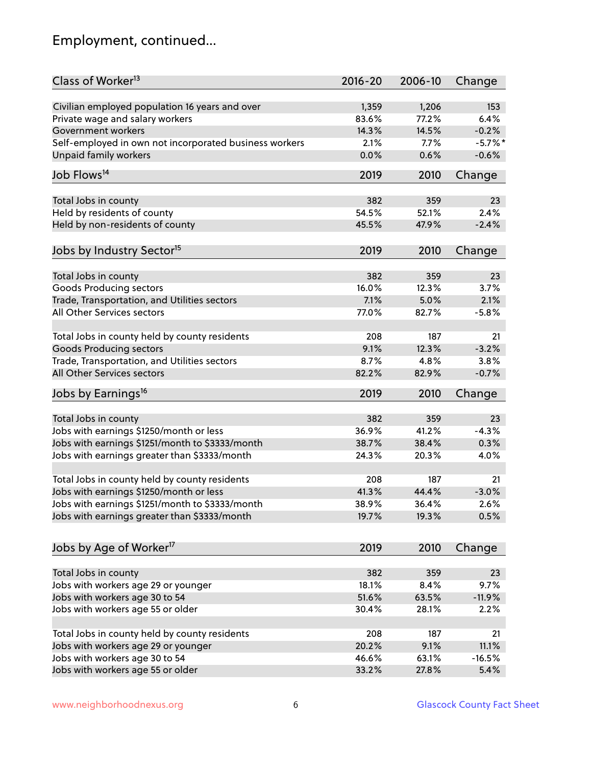# Employment, continued...

| Class of Worker <sup>13</sup>                               | $2016 - 20$ | 2006-10 | Change     |
|-------------------------------------------------------------|-------------|---------|------------|
| Civilian employed population 16 years and over              | 1,359       | 1,206   | 153        |
| Private wage and salary workers                             | 83.6%       | 77.2%   | 6.4%       |
| Government workers                                          | 14.3%       | 14.5%   | $-0.2%$    |
| Self-employed in own not incorporated business workers      | 2.1%        | 7.7%    | $-5.7\%$ * |
| Unpaid family workers                                       | 0.0%        | 0.6%    | $-0.6%$    |
| Job Flows <sup>14</sup>                                     | 2019        | 2010    | Change     |
|                                                             |             |         |            |
| Total Jobs in county                                        | 382         | 359     | 23         |
| Held by residents of county                                 | 54.5%       | 52.1%   | 2.4%       |
| Held by non-residents of county                             | 45.5%       | 47.9%   | $-2.4%$    |
| Jobs by Industry Sector <sup>15</sup>                       | 2019        | 2010    | Change     |
|                                                             |             |         |            |
| Total Jobs in county                                        | 382         | 359     | 23         |
| Goods Producing sectors                                     | 16.0%       | 12.3%   | 3.7%       |
| Trade, Transportation, and Utilities sectors                | 7.1%        | 5.0%    | 2.1%       |
| All Other Services sectors                                  | 77.0%       | 82.7%   | $-5.8%$    |
|                                                             |             |         |            |
| Total Jobs in county held by county residents               | 208         | 187     | 21         |
| <b>Goods Producing sectors</b>                              | 9.1%        | 12.3%   | $-3.2%$    |
| Trade, Transportation, and Utilities sectors                | 8.7%        | 4.8%    | 3.8%       |
| All Other Services sectors                                  | 82.2%       | 82.9%   | $-0.7%$    |
| Jobs by Earnings <sup>16</sup>                              | 2019        | 2010    | Change     |
|                                                             |             |         |            |
| Total Jobs in county                                        | 382         | 359     | 23         |
| Jobs with earnings \$1250/month or less                     | 36.9%       | 41.2%   | $-4.3%$    |
| Jobs with earnings \$1251/month to \$3333/month             | 38.7%       | 38.4%   | 0.3%       |
| Jobs with earnings greater than \$3333/month                | 24.3%       | 20.3%   | 4.0%       |
| Total Jobs in county held by county residents               | 208         | 187     | 21         |
| Jobs with earnings \$1250/month or less                     | 41.3%       | 44.4%   | $-3.0%$    |
| Jobs with earnings \$1251/month to \$3333/month             | 38.9%       | 36.4%   | $2.6\%$    |
| Jobs with earnings greater than \$3333/month                | 19.7%       | 19.3%   | 0.5%       |
|                                                             |             |         |            |
| Jobs by Age of Worker <sup>17</sup>                         | 2019        | 2010    | Change     |
|                                                             | 382         | 359     | 23         |
| Total Jobs in county<br>Jobs with workers age 29 or younger | 18.1%       | 8.4%    | 9.7%       |
|                                                             | 51.6%       | 63.5%   | $-11.9%$   |
| Jobs with workers age 30 to 54                              |             |         |            |
| Jobs with workers age 55 or older                           | 30.4%       | 28.1%   | 2.2%       |
| Total Jobs in county held by county residents               | 208         | 187     | 21         |
| Jobs with workers age 29 or younger                         | 20.2%       | 9.1%    | 11.1%      |
| Jobs with workers age 30 to 54                              | 46.6%       | 63.1%   | $-16.5%$   |
| Jobs with workers age 55 or older                           | 33.2%       | 27.8%   | 5.4%       |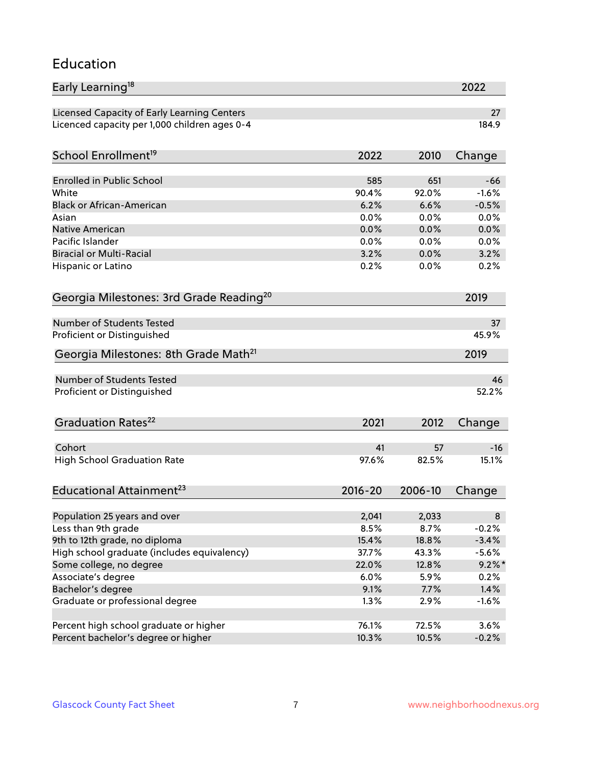#### Education

| Early Learning <sup>18</sup>                        |              |              | 2022         |
|-----------------------------------------------------|--------------|--------------|--------------|
| Licensed Capacity of Early Learning Centers         |              |              | 27           |
| Licenced capacity per 1,000 children ages 0-4       |              |              | 184.9        |
| School Enrollment <sup>19</sup>                     | 2022         | 2010         | Change       |
|                                                     |              |              |              |
| <b>Enrolled in Public School</b>                    | 585          | 651          | $-66$        |
| White<br><b>Black or African-American</b>           | 90.4%        | 92.0%        | $-1.6%$      |
|                                                     | 6.2%         | 6.6%         | $-0.5%$      |
| Asian<br><b>Native American</b>                     | 0.0%         | 0.0%         | 0.0%         |
| Pacific Islander                                    | 0.0%         | 0.0%         | 0.0%         |
| <b>Biracial or Multi-Racial</b>                     | 0.0%<br>3.2% | 0.0%<br>0.0% | 0.0%<br>3.2% |
|                                                     |              |              |              |
| Hispanic or Latino                                  | 0.2%         | 0.0%         | 0.2%         |
| Georgia Milestones: 3rd Grade Reading <sup>20</sup> |              |              | 2019         |
| <b>Number of Students Tested</b>                    |              |              | 37           |
| Proficient or Distinguished                         |              |              | 45.9%        |
|                                                     |              |              |              |
| Georgia Milestones: 8th Grade Math <sup>21</sup>    |              |              | 2019         |
| <b>Number of Students Tested</b>                    |              |              | 46           |
| Proficient or Distinguished                         |              |              | 52.2%        |
| Graduation Rates <sup>22</sup>                      | 2021         | 2012         | Change       |
|                                                     |              |              |              |
| Cohort                                              | 41           | 57           | $-16$        |
| <b>High School Graduation Rate</b>                  | 97.6%        | 82.5%        | 15.1%        |
| Educational Attainment <sup>23</sup>                | $2016 - 20$  | 2006-10      | Change       |
| Population 25 years and over                        | 2,041        | 2,033        | 8            |
| Less than 9th grade                                 | 8.5%         | 8.7%         | $-0.2%$      |
| 9th to 12th grade, no diploma                       | 15.4%        | 18.8%        | $-3.4%$      |
| High school graduate (includes equivalency)         | 37.7%        | 43.3%        | $-5.6%$      |
| Some college, no degree                             | 22.0%        | 12.8%        | $9.2\%$ *    |
|                                                     | 6.0%         | 5.9%         | 0.2%         |
| Associate's degree                                  |              |              |              |
| Bachelor's degree                                   | 9.1%         | 7.7%         | 1.4%         |
| Graduate or professional degree                     | 1.3%         | 2.9%         | $-1.6%$      |
| Percent high school graduate or higher              | 76.1%        | 72.5%        | 3.6%         |
| Percent bachelor's degree or higher                 | 10.3%        | 10.5%        | $-0.2%$      |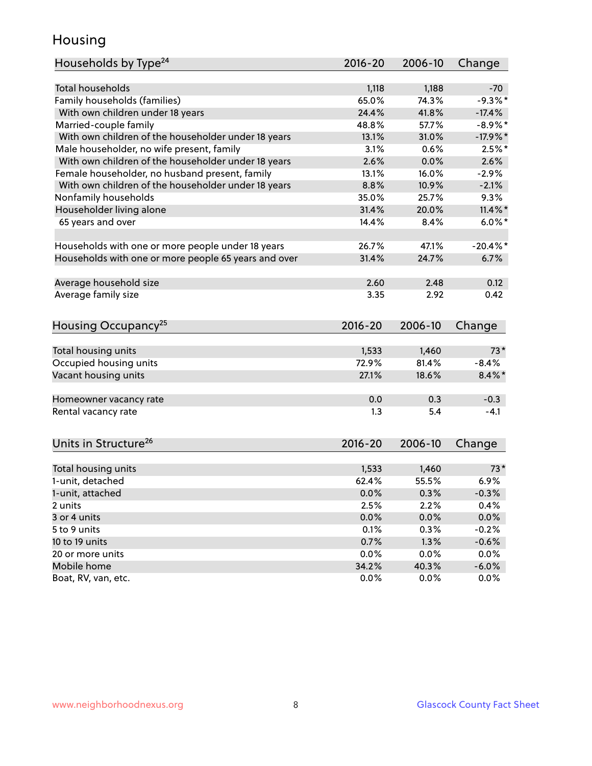### Housing

| Households by Type <sup>24</sup>                     | 2016-20     | 2006-10 | Change     |
|------------------------------------------------------|-------------|---------|------------|
|                                                      |             |         |            |
| <b>Total households</b>                              | 1,118       | 1,188   | -70        |
| Family households (families)                         | 65.0%       | 74.3%   | $-9.3%$    |
| With own children under 18 years                     | 24.4%       | 41.8%   | $-17.4%$   |
| Married-couple family                                | 48.8%       | 57.7%   | $-8.9\%$ * |
| With own children of the householder under 18 years  | 13.1%       | 31.0%   | $-17.9%$   |
| Male householder, no wife present, family            | 3.1%        | 0.6%    | $2.5%$ *   |
| With own children of the householder under 18 years  | 2.6%        | 0.0%    | 2.6%       |
| Female householder, no husband present, family       | 13.1%       | 16.0%   | $-2.9%$    |
| With own children of the householder under 18 years  | 8.8%        | 10.9%   | $-2.1%$    |
| Nonfamily households                                 | 35.0%       | 25.7%   | 9.3%       |
| Householder living alone                             | 31.4%       | 20.0%   | $11.4\%$ * |
| 65 years and over                                    | 14.4%       | 8.4%    | $6.0\%$ *  |
| Households with one or more people under 18 years    | 26.7%       | 47.1%   | $-20.4%$   |
| Households with one or more people 65 years and over | 31.4%       | 24.7%   | 6.7%       |
|                                                      |             |         |            |
| Average household size                               | 2.60        | 2.48    | 0.12       |
| Average family size                                  | 3.35        | 2.92    | 0.42       |
| Housing Occupancy <sup>25</sup>                      | $2016 - 20$ | 2006-10 | Change     |
|                                                      |             |         |            |
| Total housing units                                  | 1,533       | 1,460   | $73*$      |
| Occupied housing units                               | 72.9%       | 81.4%   | $-8.4%$    |
| Vacant housing units                                 | 27.1%       | 18.6%   | $8.4\%$ *  |
| Homeowner vacancy rate                               | 0.0         | 0.3     | $-0.3$     |
| Rental vacancy rate                                  | 1.3         | 5.4     | $-4.1$     |
| Units in Structure <sup>26</sup>                     | $2016 - 20$ | 2006-10 | Change     |
|                                                      |             |         | $73*$      |
| Total housing units                                  | 1,533       | 1,460   |            |
| 1-unit, detached                                     | 62.4%       | 55.5%   | 6.9%       |
| 1-unit, attached                                     | 0.0%        | 0.3%    | $-0.3%$    |
| 2 units                                              | 2.5%        | 2.2%    | 0.4%       |
| 3 or 4 units                                         | 0.0%        | 0.0%    | 0.0%       |
| 5 to 9 units                                         | 0.1%        | 0.3%    | $-0.2%$    |
| 10 to 19 units                                       | 0.7%        | 1.3%    | $-0.6%$    |
| 20 or more units                                     | 0.0%        | 0.0%    | 0.0%       |
| Mobile home                                          | 34.2%       | 40.3%   | $-6.0\%$   |
| Boat, RV, van, etc.                                  | 0.0%        | 0.0%    | 0.0%       |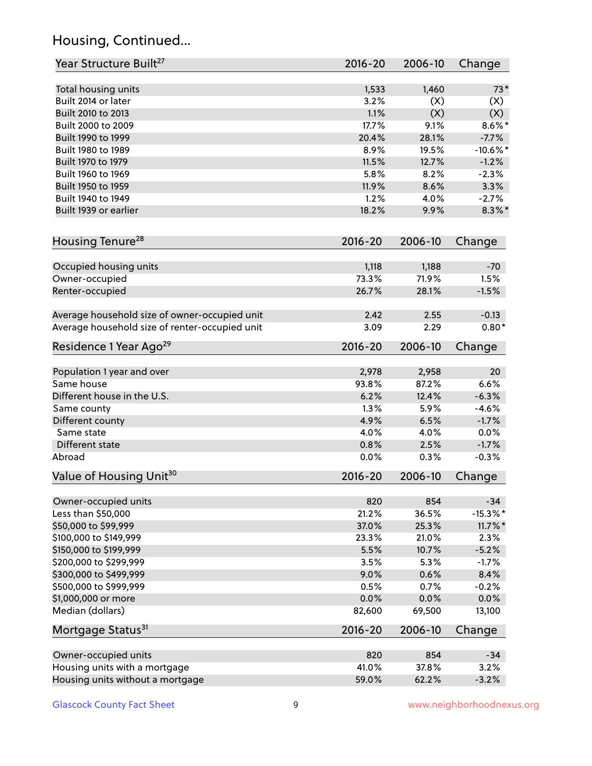# Housing, Continued...

| Year Structure Built <sup>27</sup>             | 2016-20      | 2006-10 | Change      |
|------------------------------------------------|--------------|---------|-------------|
| Total housing units                            | 1,533        | 1,460   | $73*$       |
| Built 2014 or later                            | 3.2%         | (X)     | (X)         |
| Built 2010 to 2013                             | 1.1%         | (X)     | (X)         |
| Built 2000 to 2009                             | 17.7%        | 9.1%    | $8.6\%$ *   |
| Built 1990 to 1999                             | 20.4%        | 28.1%   | $-7.7%$     |
| Built 1980 to 1989                             | 8.9%         | 19.5%   | $-10.6\%$ * |
| Built 1970 to 1979                             | 11.5%        | 12.7%   | $-1.2%$     |
| Built 1960 to 1969                             | 5.8%         | 8.2%    | $-2.3%$     |
| Built 1950 to 1959                             | 11.9%        | 8.6%    | 3.3%        |
| Built 1940 to 1949                             | 1.2%         | 4.0%    | $-2.7%$     |
| Built 1939 or earlier                          | 18.2%        | 9.9%    | $8.3\%$ *   |
|                                                |              |         |             |
| Housing Tenure <sup>28</sup>                   | $2016 - 20$  | 2006-10 | Change      |
| Occupied housing units                         | 1,118        | 1,188   | $-70$       |
| Owner-occupied                                 | 73.3%        | 71.9%   | 1.5%        |
| Renter-occupied                                | 26.7%        | 28.1%   | $-1.5%$     |
|                                                |              |         |             |
| Average household size of owner-occupied unit  | 2.42         | 2.55    | $-0.13$     |
| Average household size of renter-occupied unit | 3.09         | 2.29    | $0.80*$     |
| Residence 1 Year Ago <sup>29</sup>             | 2016-20      | 2006-10 | Change      |
|                                                |              |         |             |
| Population 1 year and over                     | 2,978        | 2,958   | 20          |
| Same house                                     | 93.8%        | 87.2%   | 6.6%        |
| Different house in the U.S.                    | 6.2%         | 12.4%   | $-6.3%$     |
| Same county                                    | 1.3%         | 5.9%    | $-4.6%$     |
| Different county                               | 4.9%         | 6.5%    | $-1.7%$     |
| Same state                                     | 4.0%         | 4.0%    | 0.0%        |
| Different state                                | 0.8%         | 2.5%    | $-1.7%$     |
| Abroad                                         | 0.0%         | 0.3%    | $-0.3%$     |
| Value of Housing Unit <sup>30</sup>            | 2016-20      | 2006-10 | Change      |
|                                                |              | 854     | $-34$       |
| Owner-occupied units<br>Less than \$50,000     | 820<br>21.2% | 36.5%   | $-15.3\%$ * |
|                                                |              |         |             |
| \$50,000 to \$99,999                           | 37.0%        | 25.3%   | $11.7\%$ *  |
| \$100,000 to \$149,999                         | 23.3%        | 21.0%   | 2.3%        |
| \$150,000 to \$199,999                         | 5.5%         | 10.7%   | $-5.2%$     |
| \$200,000 to \$299,999                         | 3.5%         | 5.3%    | $-1.7%$     |
| \$300,000 to \$499,999                         | 9.0%         | 0.6%    | 8.4%        |
| \$500,000 to \$999,999                         | 0.5%         | 0.7%    | $-0.2%$     |
| \$1,000,000 or more                            | 0.0%         | 0.0%    | $0.0\%$     |
| Median (dollars)                               | 82,600       | 69,500  | 13,100      |
| Mortgage Status <sup>31</sup>                  | $2016 - 20$  | 2006-10 | Change      |
| Owner-occupied units                           | 820          | 854     | $-34$       |
| Housing units with a mortgage                  | 41.0%        | 37.8%   | 3.2%        |
| Housing units without a mortgage               | 59.0%        | 62.2%   | $-3.2%$     |
|                                                |              |         |             |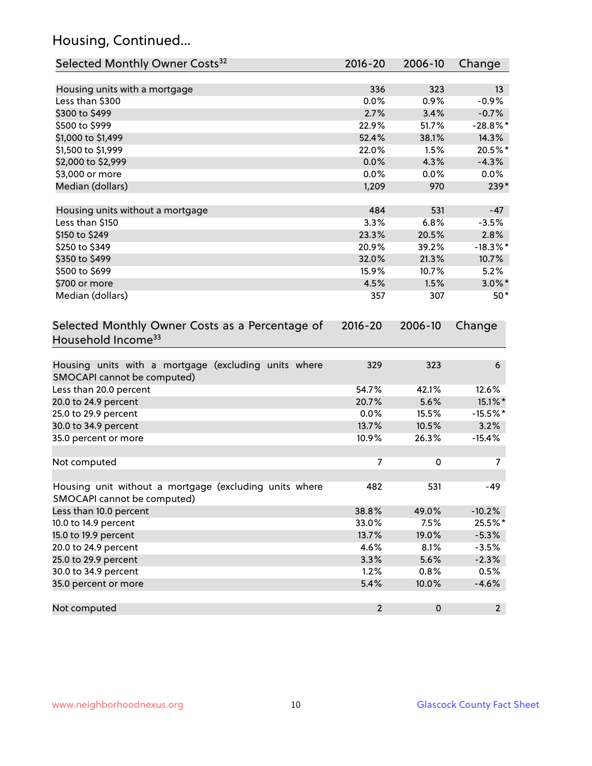# Housing, Continued...

| Selected Monthly Owner Costs <sup>32</sup>                                            | 2016-20                 | 2006-10 | Change      |
|---------------------------------------------------------------------------------------|-------------------------|---------|-------------|
| Housing units with a mortgage                                                         | 336                     | 323     | 13          |
| Less than \$300                                                                       | 0.0%                    | 0.9%    | $-0.9%$     |
| \$300 to \$499                                                                        | 2.7%                    | 3.4%    | $-0.7%$     |
| \$500 to \$999                                                                        | 22.9%                   | 51.7%   | $-28.8\%$ * |
| \$1,000 to \$1,499                                                                    | 52.4%                   | 38.1%   | 14.3%       |
| \$1,500 to \$1,999                                                                    | 22.0%                   | 1.5%    | 20.5%*      |
| \$2,000 to \$2,999                                                                    | 0.0%                    | 4.3%    | $-4.3%$     |
| \$3,000 or more                                                                       | 0.0%                    | 0.0%    | $0.0\%$     |
| Median (dollars)                                                                      | 1,209                   | 970     | $239*$      |
| Housing units without a mortgage                                                      | 484                     | 531     | $-47$       |
| Less than \$150                                                                       | 3.3%                    | 6.8%    | $-3.5%$     |
| \$150 to \$249                                                                        | 23.3%                   | 20.5%   | 2.8%        |
| \$250 to \$349                                                                        | 20.9%                   | 39.2%   | $-18.3\%$ * |
| \$350 to \$499                                                                        | 32.0%                   | 21.3%   | 10.7%       |
| \$500 to \$699                                                                        | 15.9%                   | 10.7%   | 5.2%        |
| \$700 or more                                                                         | 4.5%                    | 1.5%    | $3.0\%$ *   |
| Median (dollars)                                                                      | 357                     | 307     | $50*$       |
| Household Income <sup>33</sup>                                                        |                         |         |             |
| Housing units with a mortgage (excluding units where<br>SMOCAPI cannot be computed)   | 329                     | 323     | 6           |
| Less than 20.0 percent                                                                | 54.7%                   | 42.1%   | 12.6%       |
| 20.0 to 24.9 percent                                                                  | 20.7%                   | 5.6%    | 15.1%*      |
| 25.0 to 29.9 percent                                                                  | 0.0%                    | 15.5%   | $-15.5%$ *  |
| 30.0 to 34.9 percent                                                                  | 13.7%                   | 10.5%   | 3.2%        |
| 35.0 percent or more                                                                  | 10.9%                   | 26.3%   | $-15.4%$    |
| Not computed                                                                          | 7                       | 0       | 7           |
| Housing unit without a mortgage (excluding units where<br>SMOCAPI cannot be computed) | 482                     | 531     | $-49$       |
| Less than 10.0 percent                                                                | 38.8%                   | 49.0%   | $-10.2%$    |
| 10.0 to 14.9 percent                                                                  | 33.0%                   | 7.5%    | 25.5%*      |
| 15.0 to 19.9 percent                                                                  | 13.7%                   | 19.0%   | $-5.3%$     |
| 20.0 to 24.9 percent                                                                  | 4.6%                    | 8.1%    | $-3.5%$     |
| 25.0 to 29.9 percent                                                                  | 3.3%                    | 5.6%    | $-2.3%$     |
| 30.0 to 34.9 percent                                                                  | 1.2%                    | 0.8%    | 0.5%        |
| 35.0 percent or more                                                                  | 5.4%                    | 10.0%   | $-4.6%$     |
| Not computed                                                                          | $\overline{\mathbf{c}}$ | 0       | $2^{\circ}$ |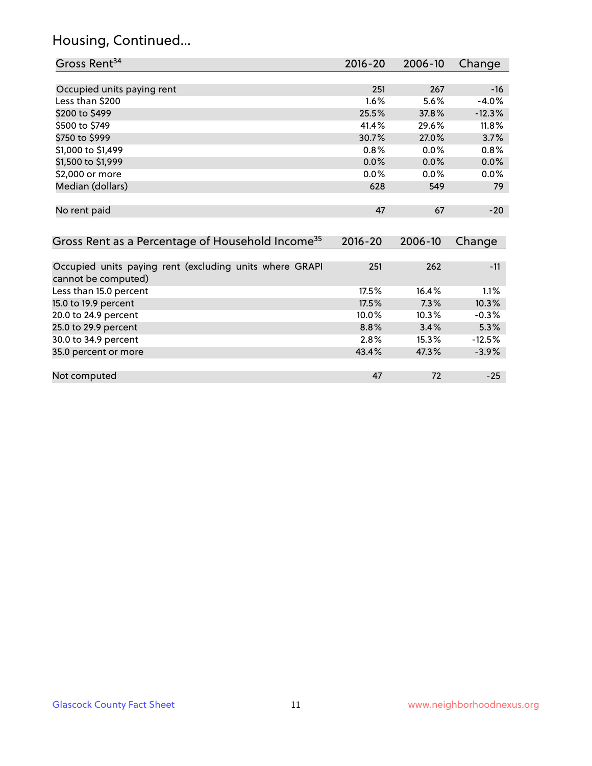# Housing, Continued...

| Gross Rent <sup>34</sup>                                                                  | $2016 - 20$ | 2006-10 | Change   |
|-------------------------------------------------------------------------------------------|-------------|---------|----------|
|                                                                                           |             |         |          |
| Occupied units paying rent                                                                | 251         | 267     | $-16$    |
| Less than \$200                                                                           | $1.6\%$     | 5.6%    | $-4.0%$  |
| \$200 to \$499                                                                            | 25.5%       | 37.8%   | $-12.3%$ |
| \$500 to \$749                                                                            | 41.4%       | 29.6%   | 11.8%    |
| \$750 to \$999                                                                            | 30.7%       | 27.0%   | 3.7%     |
| \$1,000 to \$1,499                                                                        | 0.8%        | $0.0\%$ | 0.8%     |
| \$1,500 to \$1,999                                                                        | 0.0%        | 0.0%    | 0.0%     |
| \$2,000 or more                                                                           | $0.0\%$     | $0.0\%$ | $0.0\%$  |
| Median (dollars)                                                                          | 628         | 549     | 79       |
|                                                                                           |             |         |          |
| No rent paid                                                                              | 47          | 67      | $-20$    |
|                                                                                           |             |         |          |
| Gross Rent as a Percentage of Household Income <sup>35</sup>                              | $2016 - 20$ | 2006-10 | Change   |
|                                                                                           |             |         |          |
| Occupied units paying rent (excluding units where GRAPI<br>الأامتية المستحمين متماسم مرمر | 251         | 262     | $-11$    |

| cannot be computed)    |       |       |          |
|------------------------|-------|-------|----------|
| Less than 15.0 percent | 17.5% | 16.4% | $1.1\%$  |
| 15.0 to 19.9 percent   | 17.5% | 7.3%  | 10.3%    |
| 20.0 to 24.9 percent   | 10.0% | 10.3% | $-0.3%$  |
| 25.0 to 29.9 percent   | 8.8%  | 3.4%  | 5.3%     |
| 30.0 to 34.9 percent   | 2.8%  | 15.3% | $-12.5%$ |
| 35.0 percent or more   | 43.4% | 47.3% | $-3.9%$  |
|                        |       |       |          |
| Not computed           | 47    | 72    | $-25$    |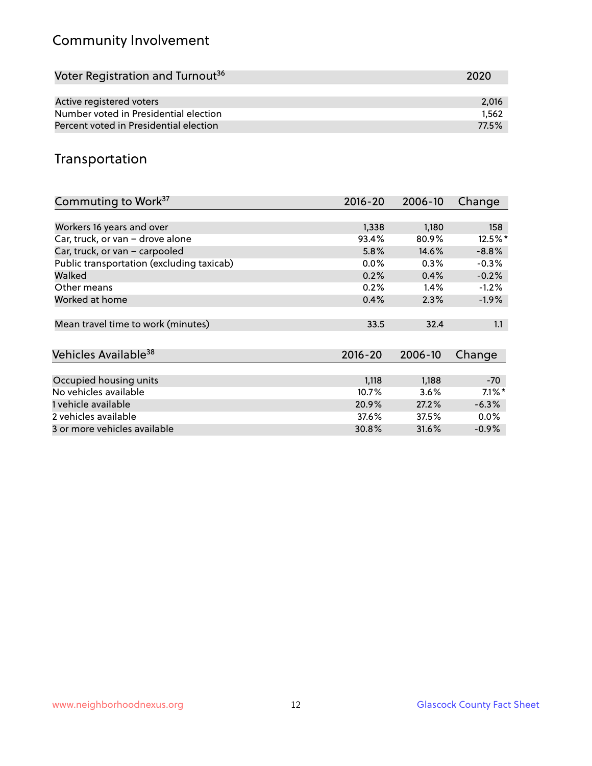# Community Involvement

| Voter Registration and Turnout <sup>36</sup> | 2020  |
|----------------------------------------------|-------|
|                                              |       |
| Active registered voters                     | 2,016 |
| Number voted in Presidential election        | 1.562 |
| Percent voted in Presidential election       | 77.5% |

# Transportation

| Commuting to Work <sup>37</sup>           | 2016-20     | 2006-10 | Change    |
|-------------------------------------------|-------------|---------|-----------|
|                                           |             |         |           |
| Workers 16 years and over                 | 1,338       | 1,180   | 158       |
| Car, truck, or van - drove alone          | 93.4%       | 80.9%   | 12.5%*    |
| Car, truck, or van - carpooled            | 5.8%        | 14.6%   | $-8.8%$   |
| Public transportation (excluding taxicab) | $0.0\%$     | 0.3%    | $-0.3%$   |
| Walked                                    | 0.2%        | 0.4%    | $-0.2%$   |
| Other means                               | 0.2%        | 1.4%    | $-1.2%$   |
| Worked at home                            | 0.4%        | 2.3%    | $-1.9%$   |
|                                           |             |         |           |
| Mean travel time to work (minutes)        | 33.5        | 32.4    | 1.1       |
|                                           |             |         |           |
| Vehicles Available <sup>38</sup>          | $2016 - 20$ | 2006-10 | Change    |
|                                           |             |         |           |
| Occupied housing units                    | 1,118       | 1,188   | $-70$     |
| No vehicles available                     | 10.7%       | 3.6%    | $7.1\%$ * |
| 1 vehicle available                       | 20.9%       | 27.2%   | $-6.3%$   |
| 2 vehicles available                      | 37.6%       | 37.5%   | $0.0\%$   |
| 3 or more vehicles available              | 30.8%       | 31.6%   | $-0.9\%$  |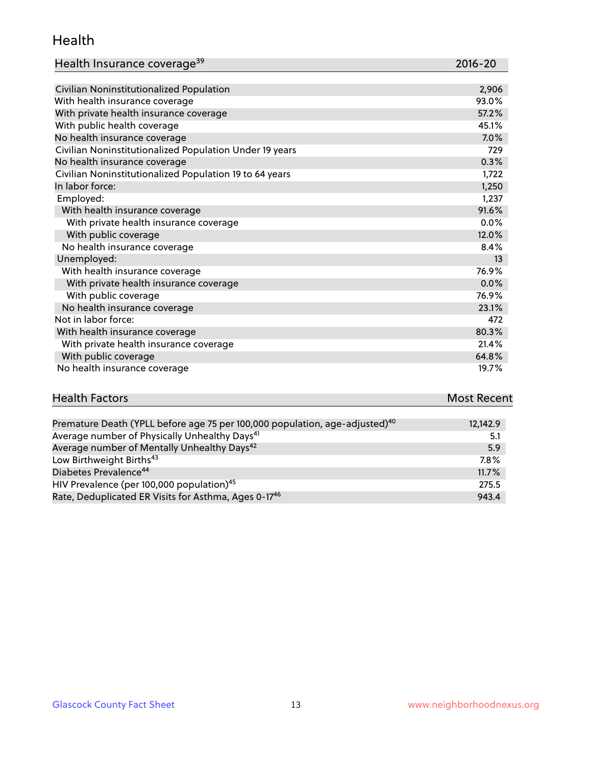#### Health

| Health Insurance coverage <sup>39</sup> | 2016-20 |
|-----------------------------------------|---------|
|-----------------------------------------|---------|

| Civilian Noninstitutionalized Population                | 2,906 |
|---------------------------------------------------------|-------|
| With health insurance coverage                          | 93.0% |
| With private health insurance coverage                  | 57.2% |
| With public health coverage                             | 45.1% |
| No health insurance coverage                            | 7.0%  |
| Civilian Noninstitutionalized Population Under 19 years | 729   |
| No health insurance coverage                            | 0.3%  |
| Civilian Noninstitutionalized Population 19 to 64 years | 1,722 |
| In labor force:                                         | 1,250 |
| Employed:                                               | 1,237 |
| With health insurance coverage                          | 91.6% |
| With private health insurance coverage                  | 0.0%  |
| With public coverage                                    | 12.0% |
| No health insurance coverage                            | 8.4%  |
| Unemployed:                                             | 13    |
| With health insurance coverage                          | 76.9% |
| With private health insurance coverage                  | 0.0%  |
| With public coverage                                    | 76.9% |
| No health insurance coverage                            | 23.1% |
| Not in labor force:                                     | 472   |
| With health insurance coverage                          | 80.3% |
| With private health insurance coverage                  | 21.4% |
| With public coverage                                    | 64.8% |
| No health insurance coverage                            | 19.7% |

| <b>Health Factors</b> | <b>Most Recent</b> |
|-----------------------|--------------------|
|                       |                    |

| Premature Death (YPLL before age 75 per 100,000 population, age-adjusted) <sup>40</sup> | 12,142.9 |
|-----------------------------------------------------------------------------------------|----------|
| Average number of Physically Unhealthy Days <sup>41</sup>                               | 5.1      |
| Average number of Mentally Unhealthy Days <sup>42</sup>                                 | 5.9      |
| Low Birthweight Births <sup>43</sup>                                                    | 7.8%     |
| Diabetes Prevalence <sup>44</sup>                                                       | $11.7\%$ |
| HIV Prevalence (per 100,000 population) <sup>45</sup>                                   | 275.5    |
| Rate, Deduplicated ER Visits for Asthma, Ages 0-17 <sup>46</sup>                        | 943.4    |